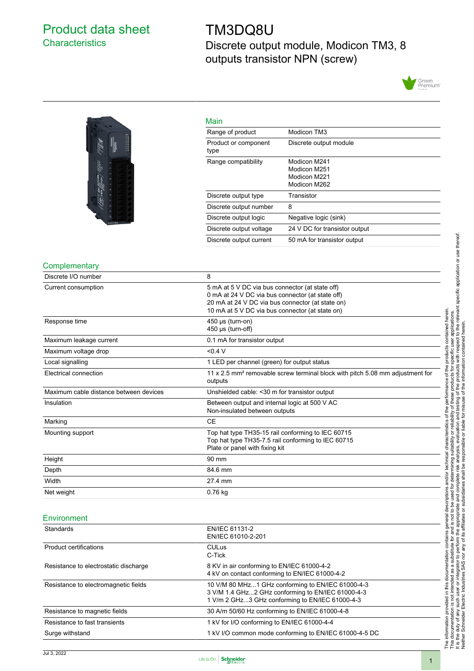# <span id="page-0-0"></span>Product data sheet **Characteristics**

# TM3DQ8U Discrete output module, Modicon TM3, 8 outputs transistor NPN (screw)





| Main                         |                                                              |
|------------------------------|--------------------------------------------------------------|
| Range of product             | Modicon TM3                                                  |
| Product or component<br>type | Discrete output module                                       |
| Range compatibility          | Modicon M241<br>Modicon M251<br>Modicon M221<br>Modicon M262 |
| Discrete output type         | Transistor                                                   |
| Discrete output number       | 8                                                            |
| Discrete output logic        | Negative logic (sink)                                        |
| Discrete output voltage      | 24 V DC for transistor output                                |
| Discrete output current      | 50 mA for transistor output                                  |

#### **Complementary**

| Discrete I/O number                    | 8                                                                                                                                                                                                          |
|----------------------------------------|------------------------------------------------------------------------------------------------------------------------------------------------------------------------------------------------------------|
| Current consumption                    | 5 mA at 5 V DC via bus connector (at state off)<br>0 mA at 24 V DC via bus connector (at state off)<br>20 mA at 24 V DC via bus connector (at state on)<br>10 mA at 5 V DC via bus connector (at state on) |
| Response time                          | $450 \mu s$ (turn-on)<br>$450 \mu s$ (turn-off)                                                                                                                                                            |
| Maximum leakage current                | 0.1 mA for transistor output                                                                                                                                                                               |
| Maximum voltage drop                   | < 0.4 V                                                                                                                                                                                                    |
| Local signalling                       | 1 LED per channel (green) for output status                                                                                                                                                                |
| Electrical connection                  | 11 x 2.5 mm <sup>2</sup> removable screw terminal block with pitch 5.08 mm adjustment for<br>outputs                                                                                                       |
| Maximum cable distance between devices | Unshielded cable: < 30 m for transistor output                                                                                                                                                             |
| Insulation                             | Between output and internal logic at 500 V AC<br>Non-insulated between outputs                                                                                                                             |
| Marking                                | <b>CE</b>                                                                                                                                                                                                  |
| Mounting support                       | Top hat type TH35-15 rail conforming to IEC 60715<br>Top hat type TH35-7.5 rail conforming to IEC 60715<br>Plate or panel with fixing kit                                                                  |
| Height                                 | 90 mm                                                                                                                                                                                                      |
| Depth                                  | 84.6 mm                                                                                                                                                                                                    |
| Width                                  | 27.4 mm                                                                                                                                                                                                    |
| Net weight                             | $0.76$ kg                                                                                                                                                                                                  |

#### **Environment**

| Standards                             | EN/IEC 61131-2<br>EN/IEC 61010-2-201                                                                                                                      |
|---------------------------------------|-----------------------------------------------------------------------------------------------------------------------------------------------------------|
| <b>Product certifications</b>         | <b>CULus</b><br>C-Tick                                                                                                                                    |
| Resistance to electrostatic discharge | 8 KV in air conforming to EN/IEC 61000-4-2<br>4 kV on contact conforming to EN/IEC 61000-4-2                                                              |
| Resistance to electromagnetic fields  | 10 V/M 80 MHz1 GHz conforming to EN/IEC 61000-4-3<br>3 V/M 1.4 GHz2 GHz conforming to EN/IEC 61000-4-3<br>1 V/m 2 GHz3 GHz conforming to EN/IEC 61000-4-3 |
| Resistance to magnetic fields         | 30 A/m 50/60 Hz conforming to EN/IEC 61000-4-8                                                                                                            |
| Resistance to fast transients         | 1 kV for I/O conforming to EN/IEC 61000-4-4                                                                                                               |
| Surge withstand                       | 1 kV I/O common mode conforming to EN/IEC 61000-4-5 DC                                                                                                    |

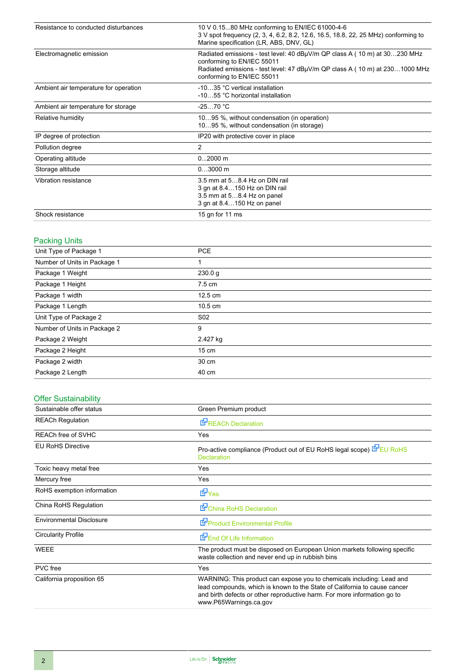| Resistance to conducted disturbances  | 10 V 0.1580 MHz conforming to EN/IEC 61000-4-6<br>3 V spot frequency (2, 3, 4, 6.2, 8.2, 12.6, 16.5, 18.8, 22, 25 MHz) conforming to<br>Marine specification (LR, ABS, DNV, GL)                                      |
|---------------------------------------|----------------------------------------------------------------------------------------------------------------------------------------------------------------------------------------------------------------------|
| Electromagnetic emission              | Radiated emissions - test level: 40 dBµV/m QP class A (10 m) at 30230 MHz<br>conforming to EN/IEC 55011<br>Radiated emissions - test level: 47 dBµV/m QP class A (10 m) at 2301000 MHz<br>conforming to EN/IEC 55011 |
| Ambient air temperature for operation | -1035 °C vertical installation<br>-1055 °C horizontal installation                                                                                                                                                   |
| Ambient air temperature for storage   | $-2570 °C$                                                                                                                                                                                                           |
| Relative humidity                     | 1095 %, without condensation (in operation)<br>1095 %, without condensation (in storage)                                                                                                                             |
| IP degree of protection               | IP20 with protective cover in place                                                                                                                                                                                  |
| Pollution degree                      | 2                                                                                                                                                                                                                    |
| Operating altitude                    | $02000$ m                                                                                                                                                                                                            |
| Storage altitude                      | $03000$ m                                                                                                                                                                                                            |
| Vibration resistance                  | 3.5 mm at 58.4 Hz on DIN rail<br>3 gn at 8.4150 Hz on DIN rail<br>3.5 mm at 58.4 Hz on panel<br>3 gn at 8.4150 Hz on panel                                                                                           |
| Shock resistance                      | 15 gn for 11 ms                                                                                                                                                                                                      |

#### Packing Units

| ີ                            |                   |  |
|------------------------------|-------------------|--|
| Unit Type of Package 1       | <b>PCE</b>        |  |
| Number of Units in Package 1 |                   |  |
| Package 1 Weight             | 230.0 g           |  |
| Package 1 Height             | $7.5 \text{ cm}$  |  |
| Package 1 width              | $12.5 \text{ cm}$ |  |
| Package 1 Length             | $10.5 \text{ cm}$ |  |
| Unit Type of Package 2       | S <sub>02</sub>   |  |
| Number of Units in Package 2 | 9                 |  |
| Package 2 Weight             | 2.427 kg          |  |
| Package 2 Height             | $15 \text{ cm}$   |  |
| Package 2 width              | 30 cm             |  |
| Package 2 Length             | 40 cm             |  |
|                              |                   |  |

#### Offer Sustainability

| Sustainable offer status        | Green Premium product                                                                                                                                                                                                                                    |
|---------------------------------|----------------------------------------------------------------------------------------------------------------------------------------------------------------------------------------------------------------------------------------------------------|
| <b>REACh Regulation</b>         | REACh Declaration                                                                                                                                                                                                                                        |
| <b>REACh free of SVHC</b>       | Yes                                                                                                                                                                                                                                                      |
| <b>EU RoHS Directive</b>        | Pro-active compliance (Product out of EU RoHS legal scope) EPLU RoHS<br><b>Declaration</b>                                                                                                                                                               |
| Toxic heavy metal free          | Yes                                                                                                                                                                                                                                                      |
| Mercury free                    | Yes                                                                                                                                                                                                                                                      |
| RoHS exemption information      | d Yes                                                                                                                                                                                                                                                    |
| China RoHS Regulation           | China RoHS Declaration                                                                                                                                                                                                                                   |
| <b>Environmental Disclosure</b> | Product Environmental Profile                                                                                                                                                                                                                            |
| <b>Circularity Profile</b>      | End Of Life Information                                                                                                                                                                                                                                  |
| <b>WEEE</b>                     | The product must be disposed on European Union markets following specific<br>waste collection and never end up in rubbish bins                                                                                                                           |
| PVC free                        | Yes                                                                                                                                                                                                                                                      |
| California proposition 65       | WARNING: This product can expose you to chemicals including: Lead and<br>lead compounds, which is known to the State of California to cause cancer<br>and birth defects or other reproductive harm. For more information go to<br>www.P65Warnings.ca.gov |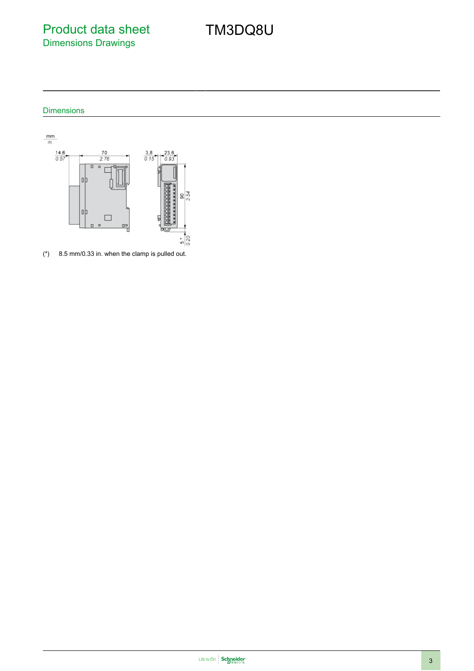Product data sheet Dimensions Drawings

TM3DQ8U

## Dimensions



(\*) 8.5 mm/0.33 in. when the clamp is pulled out.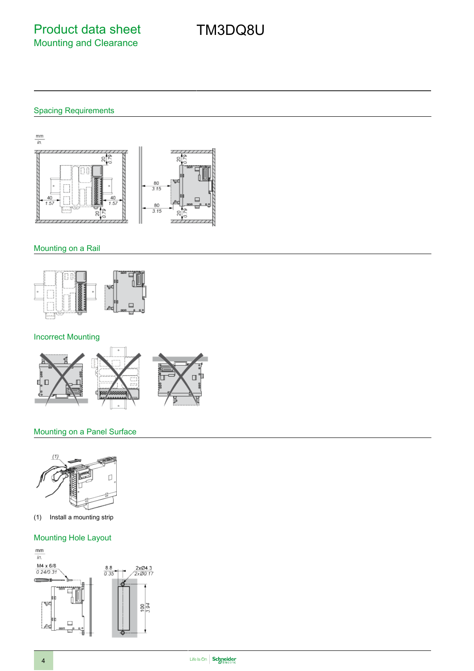### Spacing Requirements

 $\frac{mm}{in.}$ 긲  $\overline{111}$  $7777$ g  $\frac{80}{3.15}$ 80  $3.15$ 20  $\mathcal{R}$  $\frac{1}{2}$ 

# Mounting on a Rail



# Incorrect Mounting



#### Mounting on a Panel Surface



(1) Install a mounting strip

#### Mounting Hole Layout